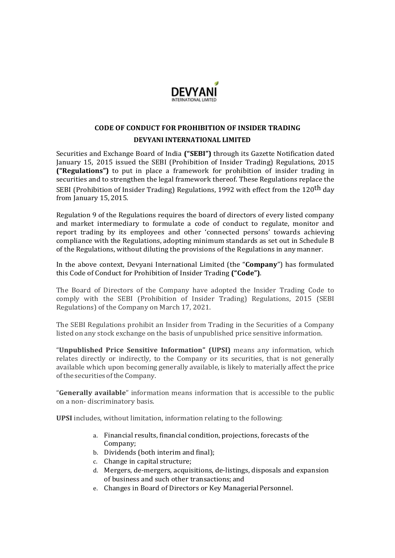

# CODE OF CONDUCT FOR PROHIBITION OF INSIDER TRADING DEVYANI INTERNATIONAL LIMITED

Securities and Exchange Board of India ("SEBI") through its Gazette Notification dated January 15, 2015 issued the SEBI (Prohibition of Insider Trading) Regulations, 2015 ("Regulations") to put in place a framework for prohibition of insider trading in securities and to strengthen the legal framework thereof. These Regulations replace the SEBI (Prohibition of Insider Trading) Regulations, 1992 with effect from the 120<sup>th</sup> day from January 15, 2015.

Regulation 9 of the Regulations requires the board of directors of every listed company and market intermediary to formulate a code of conduct to regulate, monitor and report trading by its employees and other 'connected persons' towards achieving compliance with the Regulations, adopting minimum standards as set out in Schedule B of the Regulations, without diluting the provisions of the Regulations in any manner.

In the above context, Devyani International Limited (the "Company") has formulated this Code of Conduct for Prohibition of Insider Trading ("Code").

The Board of Directors of the Company have adopted the Insider Trading Code to comply with the SEBI (Prohibition of Insider Trading) Regulations, 2015 (SEBI Regulations) of the Company on March 17, 2021.

The SEBI Regulations prohibit an Insider from Trading in the Securities of a Company listed on any stock exchange on the basis of unpublished price sensitive information.

"Unpublished Price Sensitive Information" (UPSI) means any information, which relates directly or indirectly, to the Company or its securities, that is not generally available which upon becoming generally available, is likely to materially affect the price of the securities of the Company.

"Generally available" information means information that is accessible to the public on a non- discriminatory basis.

UPSI includes, without limitation, information relating to the following:

- a. Financial results, financial condition, projections, forecasts of the Company;
- b. Dividends (both interim and final);
- c. Change in capital structure;
- d. Mergers, de-mergers, acquisitions, de-listings, disposals and expansion of business and such other transactions; and
- e. Changes in Board of Directors or Key Managerial Personnel.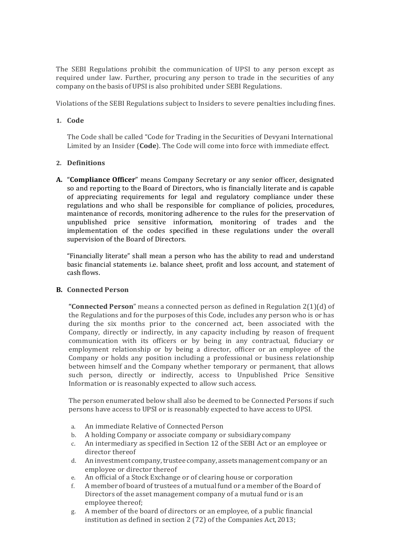The SEBI Regulations prohibit the communication of UPSI to any person except as required under law. Further, procuring any person to trade in the securities of any company on the basis of UPSI is also prohibited under SEBI Regulations.

Violations of the SEBI Regulations subject to Insiders to severe penalties including fines.

## 1. Code

The Code shall be called "Code for Trading in the Securities of Devyani International Limited by an Insider (Code). The Code will come into force with immediate effect.

## 2. Definitions

A. "Compliance Officer" means Company Secretary or any senior officer, designated so and reporting to the Board of Directors, who is financially literate and is capable of appreciating requirements for legal and regulatory compliance under these regulations and who shall be responsible for compliance of policies, procedures, maintenance of records, monitoring adherence to the rules for the preservation of unpublished price sensitive information, monitoring of trades and the implementation of the codes specified in these regulations under the overall supervision of the Board of Directors.

"Financially literate" shall mean a person who has the ability to read and understand basic financial statements i.e. balance sheet, profit and loss account, and statement of cash flows.

### B. Connected Person

"**Connected Person**" means a connected person as defined in Regulation  $2(1)(d)$  of the Regulations and for the purposes of this Code, includes any person who is or has during the six months prior to the concerned act, been associated with the Company, directly or indirectly, in any capacity including by reason of frequent communication with its officers or by being in any contractual, fiduciary or employment relationship or by being a director, officer or an employee of the Company or holds any position including a professional or business relationship between himself and the Company whether temporary or permanent, that allows such person, directly or indirectly, access to Unpublished Price Sensitive Information or is reasonably expected to allow such access.

The person enumerated below shall also be deemed to be Connected Persons if such persons have access to UPSI or is reasonably expected to have access to UPSI.

- a. An immediate Relative of Connected Person
- b. A holding Company or associate company or subsidiary company
- c. An intermediary as specified in Section 12 of the SEBI Act or an employee or director thereof
- d. An investment company, trustee company, assets management company or an employee or director thereof
- e. An official of a Stock Exchange or of clearing house or corporation
- f. A member of board of trustees of a mutual fund or a member of the Board of Directors of the asset management company of a mutual fund or is an employee thereof;
- g. A member of the board of directors or an employee, of a public financial institution as defined in section 2 (72) of the Companies Act, 2013;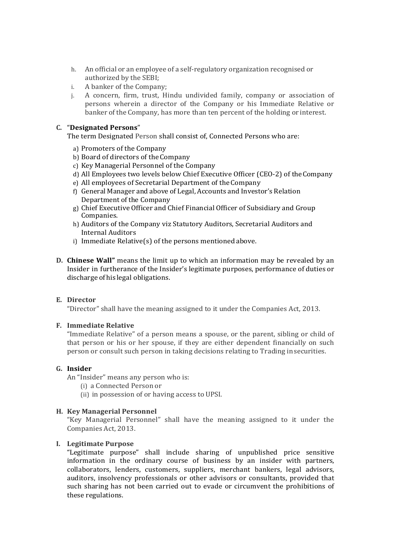- h. An official or an employee of a self-regulatory organization recognised or authorized by the SEBI;
- i. A banker of the Company;
- j. A concern, firm, trust, Hindu undivided family, company or association of persons wherein a director of the Company or his Immediate Relative or banker of the Company, has more than ten percent of the holding or interest.

## C. "Designated Persons"

The term Designated Person shall consist of, Connected Persons who are:

- a) Promoters of the Company
- b) Board of directors of the Company
- c) Key Managerial Personnel of the Company
- d) All Employees two levels below Chief Executive Officer (CEO-2) of the Company
- e) All employees of Secretarial Department of the Company
- f) General Manager and above of Legal, Accounts and Investor's Relation Department of the Company
- g) Chief Executive Officer and Chief Financial Officer of Subsidiary and Group Companies.
- h) Auditors of the Company viz Statutory Auditors, Secretarial Auditors and Internal Auditors
- i) Immediate Relative(s) of the persons mentioned above.
- D. Chinese Wall" means the limit up to which an information may be revealed by an Insider in furtherance of the Insider's legitimate purposes, performance of duties or discharge of his legal obligations.

### E. Director

"Director" shall have the meaning assigned to it under the Companies Act, 2013.

### F. Immediate Relative

"Immediate Relative" of a person means a spouse, or the parent, sibling or child of that person or his or her spouse, if they are either dependent financially on such person or consult such person in taking decisions relating to Trading in securities.

### G. Insider

An "Insider" means any person who is:

- (i) a Connected Person or
- (ii) in possession of or having access to UPSI.

### H. Key Managerial Personnel

"Key Managerial Personnel" shall have the meaning assigned to it under the Companies Act, 2013.

### I. Legitimate Purpose

"Legitimate purpose" shall include sharing of unpublished price sensitive information in the ordinary course of business by an insider with partners, collaborators, lenders, customers, suppliers, merchant bankers, legal advisors, auditors, insolvency professionals or other advisors or consultants, provided that such sharing has not been carried out to evade or circumvent the prohibitions of these regulations.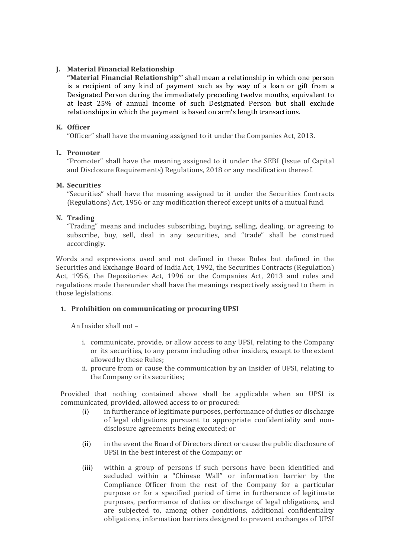## J. Material Financial Relationship

"Material Financial Relationship'" shall mean a relationship in which one person is a recipient of any kind of payment such as by way of a loan or gift from a Designated Person during the immediately preceding twelve months, equivalent to at least 25% of annual income of such Designated Person but shall exclude relationships in which the payment is based on arm's length transactions.

## K. Officer

"Officer" shall have the meaning assigned to it under the Companies Act, 2013.

## L. Promoter

"Promoter" shall have the meaning assigned to it under the SEBI (Issue of Capital and Disclosure Requirements) Regulations, 2018 or any modification thereof.

## M. Securities

"Securities" shall have the meaning assigned to it under the Securities Contracts (Regulations) Act, 1956 or any modification thereof except units of a mutual fund.

## N. Trading

"Trading" means and includes subscribing, buying, selling, dealing, or agreeing to subscribe, buy, sell, deal in any securities, and "trade" shall be construed accordingly.

Words and expressions used and not defined in these Rules but defined in the Securities and Exchange Board of India Act, 1992, the Securities Contracts (Regulation) Act, 1956, the Depositories Act, 1996 or the Companies Act, 2013 and rules and regulations made thereunder shall have the meanings respectively assigned to them in those legislations.

## 1. Prohibition on communicating or procuring UPSI

An Insider shall not –

- i. communicate, provide, or allow access to any UPSI, relating to the Company or its securities, to any person including other insiders, except to the extent allowed by these Rules;
- ii. procure from or cause the communication by an Insider of UPSI, relating to the Company or its securities;

Provided that nothing contained above shall be applicable when an UPSI is communicated, provided, allowed access to or procured:

- (i) in furtherance of legitimate purposes, performance of duties or discharge of legal obligations pursuant to appropriate confidentiality and nondisclosure agreements being executed; or
- (ii) in the event the Board of Directors direct or cause the public disclosure of UPSI in the best interest of the Company; or
- (iii) within a group of persons if such persons have been identified and secluded within a "Chinese Wall" or information barrier by the Compliance Officer from the rest of the Company for a particular purpose or for a specified period of time in furtherance of legitimate purposes, performance of duties or discharge of legal obligations, and are subjected to, among other conditions, additional confidentiality obligations, information barriers designed to prevent exchanges of UPSI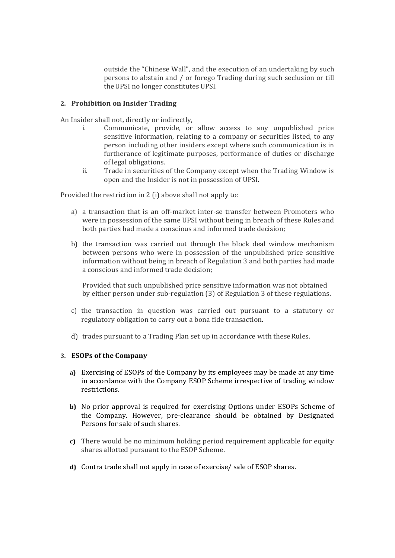outside the "Chinese Wall", and the execution of an undertaking by such persons to abstain and / or forego Trading during such seclusion or till the UPSI no longer constitutes UPSI.

### 2. Prohibition on Insider Trading

An Insider shall not, directly or indirectly,

- i. Communicate, provide, or allow access to any unpublished price sensitive information, relating to a company or securities listed, to any person including other insiders except where such communication is in furtherance of legitimate purposes, performance of duties or discharge of legal obligations.
- ii. Trade in securities of the Company except when the Trading Window is open and the Insider is not in possession of UPSI.

Provided the restriction in 2 (i) above shall not apply to:

- a) a transaction that is an off-market inter-se transfer between Promoters who were in possession of the same UPSI without being in breach of these Rules and both parties had made a conscious and informed trade decision;
- b) the transaction was carried out through the block deal window mechanism between persons who were in possession of the unpublished price sensitive information without being in breach of Regulation 3 and both parties had made a conscious and informed trade decision;

Provided that such unpublished price sensitive information was not obtained by either person under sub-regulation (3) of Regulation 3 of these regulations.

- c) the transaction in question was carried out pursuant to a statutory or regulatory obligation to carry out a bona fide transaction.
- d) trades pursuant to a Trading Plan set up in accordance with these Rules.

## 3. ESOPs of the Company

- a) Exercising of ESOPs of the Company by its employees may be made at any time in accordance with the Company ESOP Scheme irrespective of trading window restrictions.
- b) No prior approval is required for exercising Options under ESOPs Scheme of the Company. However, pre-clearance should be obtained by Designated Persons for sale of such shares.
- c) There would be no minimum holding period requirement applicable for equity shares allotted pursuant to the ESOP Scheme.
- d) Contra trade shall not apply in case of exercise/ sale of ESOP shares.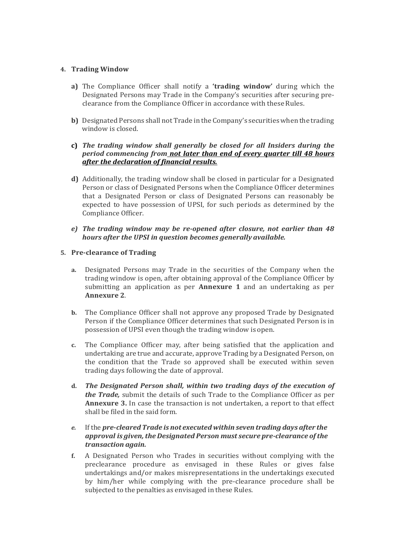## 4. Trading Window

- a) The Compliance Officer shall notify a 'trading window' during which the Designated Persons may Trade in the Company's securities after securing preclearance from the Compliance Officer in accordance with these Rules.
- b) Designated Persons shall not Trade in the Company's securities when the trading window is closed.
- c) The trading window shall generally be closed for all Insiders during the period commencing from not later than end of every quarter till 48 hours after the declaration of financial results.
- d) Additionally, the trading window shall be closed in particular for a Designated Person or class of Designated Persons when the Compliance Officer determines that a Designated Person or class of Designated Persons can reasonably be expected to have possession of UPSI, for such periods as determined by the Compliance Officer.
- e) The trading window may be re-opened after closure, not earlier than 48 hours after the UPSI in question becomes generally available.
- 5. Pre-clearance of Trading
	- a. Designated Persons may Trade in the securities of the Company when the trading window is open, after obtaining approval of the Compliance Officer by submitting an application as per **Annexure 1** and an undertaking as per Annexure 2.
	- b. The Compliance Officer shall not approve any proposed Trade by Designated Person if the Compliance Officer determines that such Designated Person is in possession of UPSI even though the trading window is open.
	- c. The Compliance Officer may, after being satisfied that the application and undertaking are true and accurate, approve Trading by a Designated Person, on the condition that the Trade so approved shall be executed within seven trading days following the date of approval.
	- d. The Designated Person shall, within two trading days of the execution of the Trade, submit the details of such Trade to the Compliance Officer as per Annexure 3. In case the transaction is not undertaken, a report to that effect shall be filed in the said form.
	- e. If the pre-cleared Trade is not executed within seven trading days after the approval is given, the Designated Person must secure pre-clearance of the transaction again.
	- f. A Designated Person who Trades in securities without complying with the preclearance procedure as envisaged in these Rules or gives false undertakings and/or makes misrepresentations in the undertakings executed by him/her while complying with the pre-clearance procedure shall be subjected to the penalties as envisaged in these Rules.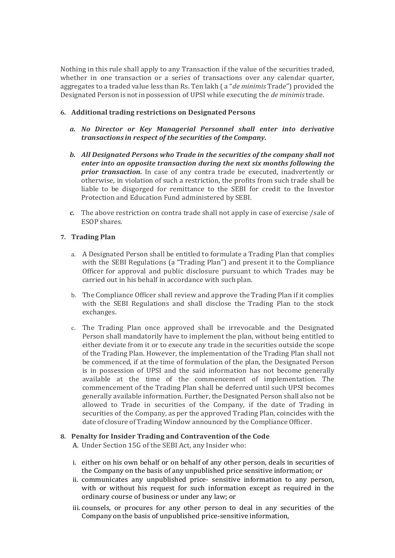Nothing in this rule shall apply to any Transaction if the value of the securities traded, whether in one transaction or a series of transactions over any calendar quarter, aggregates to a traded value less than Rs. Ten lakh (a "*de minimis* Trade") provided the Designated Person is not in possession of UPSI while executing the de minimis trade.

## 6. Additional trading restrictions on Designated Persons

- a. No Director or Key Managerial Personnel shall enter into derivative transactions in respect of the securities of the Company.
- b. All Designated Persons who Trade in the securities of the company shall not enter into an opposite transaction during the next six months following the prior transaction. In case of any contra trade be executed, inadvertently or otherwise, in violation of such a restriction, the profits from such trade shall be liable to be disgorged for remittance to the SEBI for credit to the Investor Protection and Education Fund administered by SEBI.
- c. The above restriction on contra trade shall not apply in case of exercise /sale of ESOP shares.

## 7. Trading Plan

- a. A Designated Person shall be entitled to formulate a Trading Plan that complies with the SEBI Regulations (a "Trading Plan") and present it to the Compliance Officer for approval and public disclosure pursuant to which Trades may be carried out in his behalf in accordance with such plan.
- b. The Compliance Officer shall review and approve the Trading Plan if it complies with the SEBI Regulations and shall disclose the Trading Plan to the stock exchanges.
- c. The Trading Plan once approved shall be irrevocable and the Designated Person shall mandatorily have to implement the plan, without being entitled to either deviate from it or to execute any trade in the securities outside the scope of the Trading Plan. However, the implementation of the Trading Plan shall not be commenced, if at the time of formulation of the plan, the Designated Person is in possession of UPSI and the said information has not become generally available at the time of the commencement of implementation. The commencement of the Trading Plan shall be deferred until such UPSI becomes generally available information. Further, the Designated Person shall also not be allowed to Trade in securities of the Company, if the date of Trading in securities of the Company, as per the approved Trading Plan, coincides with the date of closure of Trading Window announced by the Compliance Officer.

### 8. Penalty for Insider Trading and Contravention of the Code

A. Under Section 15G of the SEBI Act, any Insider who:

- i. either on his own behalf or on behalf of any other person, deals in securities of the Company on the basis of any unpublished price sensitive information; or
- ii. communicates any unpublished price- sensitive information to any person, with or without his request for such information except as required in the ordinary course of business or under any law; or
- iii. counsels, or procures for any other person to deal in any securities of the Company on the basis of unpublished price-sensitive information,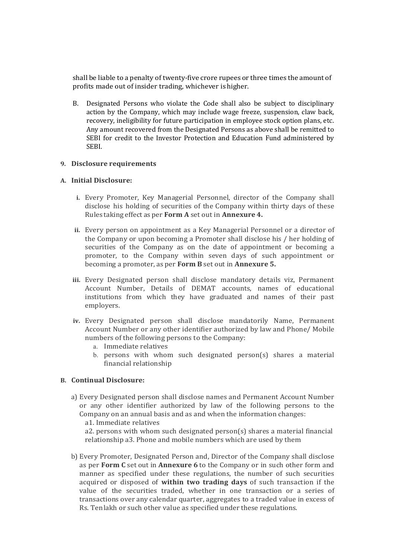shall be liable to a penalty of twenty-five crore rupees or three times the amount of profits made out of insider trading, whichever is higher.

B. Designated Persons who violate the Code shall also be subject to disciplinary action by the Company, which may include wage freeze, suspension, claw back, recovery, ineligibility for future participation in employee stock option plans, etc. Any amount recovered from the Designated Persons as above shall be remitted to SEBI for credit to the Investor Protection and Education Fund administered by SEBI.

### 9. Disclosure requirements

## A. Initial Disclosure:

- i. Every Promoter, Key Managerial Personnel, director of the Company shall disclose his holding of securities of the Company within thirty days of these Rules taking effect as per Form A set out in Annexure 4.
- ii. Every person on appointment as a Key Managerial Personnel or a director of the Company or upon becoming a Promoter shall disclose his / her holding of securities of the Company as on the date of appointment or becoming a promoter, to the Company within seven days of such appointment or becoming a promoter, as per Form B set out in Annexure 5.
- iii. Every Designated person shall disclose mandatory details viz, Permanent Account Number, Details of DEMAT accounts, names of educational institutions from which they have graduated and names of their past employers.
- iv. Every Designated person shall disclose mandatorily Name, Permanent Account Number or any other identifier authorized by law and Phone/ Mobile numbers of the following persons to the Company:
	- a. Immediate relatives
	- b. persons with whom such designated person(s) shares a material financial relationship

## B. Continual Disclosure:

a) Every Designated person shall disclose names and Permanent Account Number or any other identifier authorized by law of the following persons to the Company on an annual basis and as and when the information changes: a1. Immediate relatives

a2. persons with whom such designated person(s) shares a material financial relationship a3. Phone and mobile numbers which are used by them

b) Every Promoter, Designated Person and, Director of the Company shall disclose as per Form C set out in Annexure 6 to the Company or in such other form and manner as specified under these regulations, the number of such securities acquired or disposed of within two trading days of such transaction if the value of the securities traded, whether in one transaction or a series of transactions over any calendar quarter, aggregates to a traded value in excess of Rs. Ten lakh or such other value as specified under these regulations.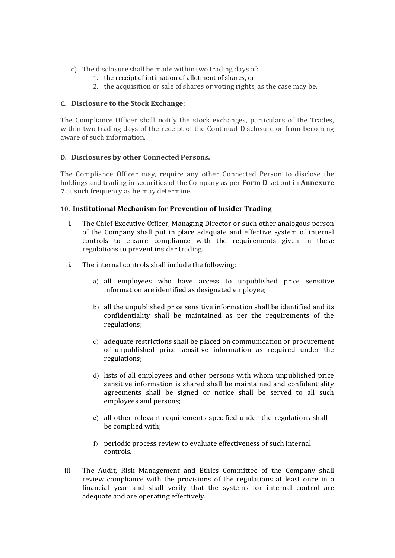- c) The disclosure shall be made within two trading days of:
	- 1. the receipt of intimation of allotment of shares, or
	- 2. the acquisition or sale of shares or voting rights, as the case may be.

## C. Disclosure to the Stock Exchange:

The Compliance Officer shall notify the stock exchanges, particulars of the Trades, within two trading days of the receipt of the Continual Disclosure or from becoming aware of such information.

## D. Disclosures by other Connected Persons.

The Compliance Officer may, require any other Connected Person to disclose the holdings and trading in securities of the Company as per **Form D** set out in **Annexure** 7 at such frequency as he may determine.

## 10. Institutional Mechanism for Prevention of Insider Trading

- i. The Chief Executive Officer, Managing Director or such other analogous person of the Company shall put in place adequate and effective system of internal controls to ensure compliance with the requirements given in these regulations to prevent insider trading.
- ii. The internal controls shall include the following:
	- a) all employees who have access to unpublished price sensitive information are identified as designated employee;
	- b) all the unpublished price sensitive information shall be identified and its confidentiality shall be maintained as per the requirements of the regulations;
	- c) adequate restrictions shall be placed on communication or procurement of unpublished price sensitive information as required under the regulations;
	- d) lists of all employees and other persons with whom unpublished price sensitive information is shared shall be maintained and confidentiality agreements shall be signed or notice shall be served to all such employees and persons;
	- e) all other relevant requirements specified under the regulations shall be complied with;
	- f) periodic process review to evaluate effectiveness of such internal controls.
- iii. The Audit, Risk Management and Ethics Committee of the Company shall review compliance with the provisions of the regulations at least once in a financial year and shall verify that the systems for internal control are adequate and are operating effectively.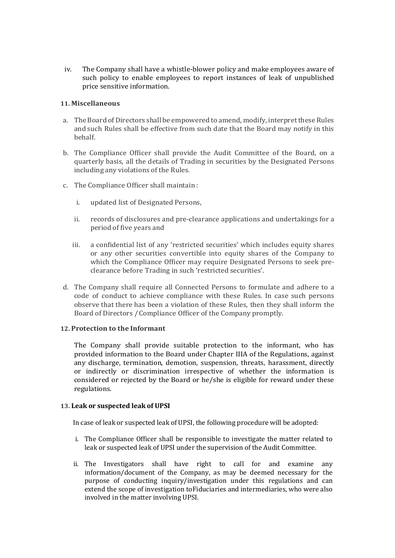iv. The Company shall have a whistle-blower policy and make employees aware of such policy to enable employees to report instances of leak of unpublished price sensitive information.

### 11. Miscellaneous

- a. The Board of Directors shall be empowered to amend, modify, interpret these Rules and such Rules shall be effective from such date that the Board may notify in this behalf.
- b. The Compliance Officer shall provide the Audit Committee of the Board, on a quarterly basis, all the details of Trading in securities by the Designated Persons including any violations of the Rules.
- c. The Compliance Officer shall maintain :
	- i. updated list of Designated Persons,
	- ii. records of disclosures and pre-clearance applications and undertakings for a period of five years and
	- iii. a confidential list of any 'restricted securities' which includes equity shares or any other securities convertible into equity shares of the Company to which the Compliance Officer may require Designated Persons to seek preclearance before Trading in such 'restricted securities'.
- d. The Company shall require all Connected Persons to formulate and adhere to a code of conduct to achieve compliance with these Rules. In case such persons observe that there has been a violation of these Rules, then they shall inform the Board of Directors / Compliance Officer of the Company promptly.

### 12. Protection to the Informant

The Company shall provide suitable protection to the informant, who has provided information to the Board under Chapter IIIA of the Regulations, against any discharge, termination, demotion, suspension, threats, harassment, directly or indirectly or discrimination irrespective of whether the information is considered or rejected by the Board or he/she is eligible for reward under these regulations.

### 13. Leak or suspected leak of UPSI

In case of leak or suspected leak of UPSI, the following procedure will be adopted:

- i. The Compliance Officer shall be responsible to investigate the matter related to leak or suspected leak of UPSI under the supervision of the Audit Committee.
- ii. The Investigators shall have right to call for and examine any information/document of the Company, as may be deemed necessary for the purpose of conducting inquiry/investigation under this regulations and can extend the scope of investigation to Fiduciaries and intermediaries, who were also involved in the matter involving UPSI.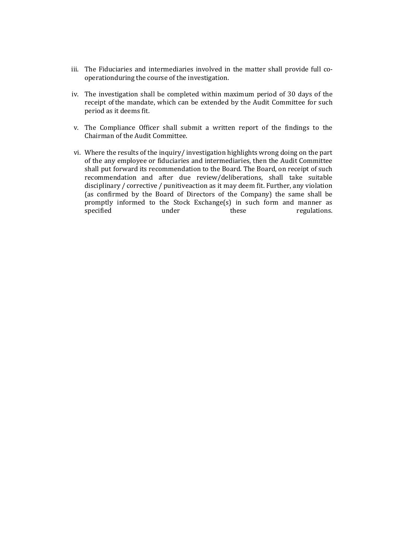- iii. The Fiduciaries and intermediaries involved in the matter shall provide full cooperation during the course of the investigation.
- iv. The investigation shall be completed within maximum period of 30 days of the receipt of the mandate, which can be extended by the Audit Committee for such period as it deems fit.
- v. The Compliance Officer shall submit a written report of the findings to the Chairman of the Audit Committee.
- vi. Where the results of the inquiry/ investigation highlights wrong doing on the part of the any employee or fiduciaries and intermediaries, then the Audit Committee shall put forward its recommendation to the Board. The Board, on receipt of such recommendation and after due review/deliberations, shall take suitable disciplinary / corrective / punitive action as it may deem fit. Further, any violation (as confirmed by the Board of Directors of the Company) the same shall be promptly informed to the Stock Exchange(s) in such form and manner as specified under these regulations.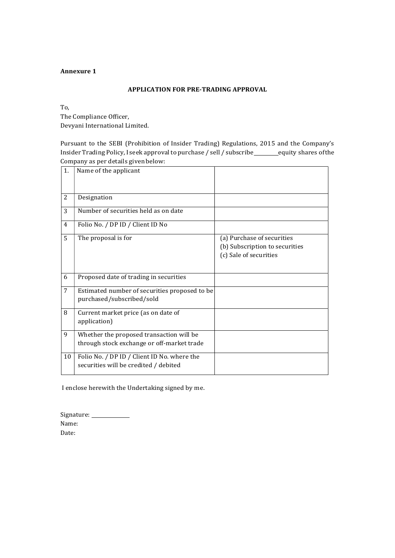### APPLICATION FOR PRE-TRADING APPROVAL

To,

The Compliance Officer, Devyani International Limited.

Pursuant to the SEBI (Prohibition of Insider Trading) Regulations, 2015 and the Company's Insider Trading Policy, I seek approval to purchase / sell / subscribe equity shares of the Company as per details given below:

| 1. | Name of the applicant                                                                  |                                                                                        |
|----|----------------------------------------------------------------------------------------|----------------------------------------------------------------------------------------|
| 2  | Designation                                                                            |                                                                                        |
| 3  | Number of securities held as on date                                                   |                                                                                        |
| 4  | Folio No. / DP ID / Client ID No                                                       |                                                                                        |
| 5  | The proposal is for                                                                    | (a) Purchase of securities<br>(b) Subscription to securities<br>(c) Sale of securities |
| 6  | Proposed date of trading in securities                                                 |                                                                                        |
| 7  | Estimated number of securities proposed to be<br>purchased/subscribed/sold             |                                                                                        |
| 8  | Current market price (as on date of<br>application)                                    |                                                                                        |
| 9  | Whether the proposed transaction will be<br>through stock exchange or off-market trade |                                                                                        |
| 10 | Folio No. / DP ID / Client ID No. where the<br>securities will be credited / debited   |                                                                                        |

I enclose herewith the Undertaking signed by me.

| Signature: |  |
|------------|--|
| Name:      |  |
| Date:      |  |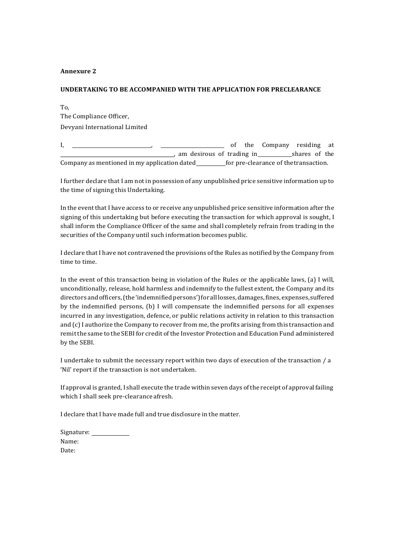#### UNDERTAKING TO BE ACCOMPANIED WITH THE APPLICATION FOR PRECLEARANCE

To, The Compliance Officer, Devyani International Limited

I, , of the Company residing at an desirous of trading in shares of the Company as mentioned in my application dated\_\_\_\_\_\_\_\_\_\_for pre-clearance of the transaction.

I further declare that I am not in possession of any unpublished price sensitive information up to the time of signing this Undertaking.

In the event that I have access to or receive any unpublished price sensitive information after the signing of this undertaking but before executing the transaction for which approval is sought, I shall inform the Compliance Officer of the same and shall completely refrain from trading in the securities of the Company until such information becomes public.

I declare that I have not contravened the provisions of the Rules as notified by the Company from time to time.

In the event of this transaction being in violation of the Rules or the applicable laws, (a) I will, unconditionally, release, hold harmless and indemnify to the fullest extent, the Company and its directors and officers, (the 'indemnified persons') for all losses, damages, fines, expenses, suffered by the indemnified persons, (b) I will compensate the indemnified persons for all expenses incurred in any investigation, defence, or public relations activity in relation to this transaction and (c) I authorize the Company to recover from me, the profits arising from this transaction and remit the same to the SEBI for credit of the Investor Protection and Education Fund administered by the SEBI.

I undertake to submit the necessary report within two days of execution of the transaction / a 'Nil' report if the transaction is not undertaken.

If approval is granted, I shall execute the trade within seven days of the receipt of approval failing which I shall seek pre-clearance afresh.

I declare that I have made full and true disclosure in the matter.

| Signature: |  |
|------------|--|
| Name:      |  |
| Date:      |  |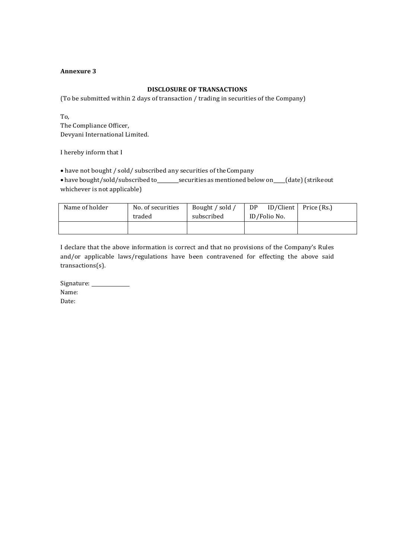#### DISCLOSURE OF TRANSACTIONS

(To be submitted within 2 days of transaction / trading in securities of the Company)

To, The Compliance Officer, Devyani International Limited.

I hereby inform that I

have not bought / sold/ subscribed any securities of the Company

• have bought/sold/subscribed to \_\_\_\_\_\_\_ securities as mentioned below on \_\_\_(date) (strike out whichever is not applicable)

| Name of holder | No. of securities | Bought / sold / | ID/Client<br>DP. | Price (Rs.) |
|----------------|-------------------|-----------------|------------------|-------------|
|                | traded            | subscribed      | ID/Folio No.     |             |
|                |                   |                 |                  |             |
|                |                   |                 |                  |             |

I declare that the above information is correct and that no provisions of the Company's Rules and/or applicable laws/regulations have been contravened for effecting the above said transactions(s).

Signature: Name: Date: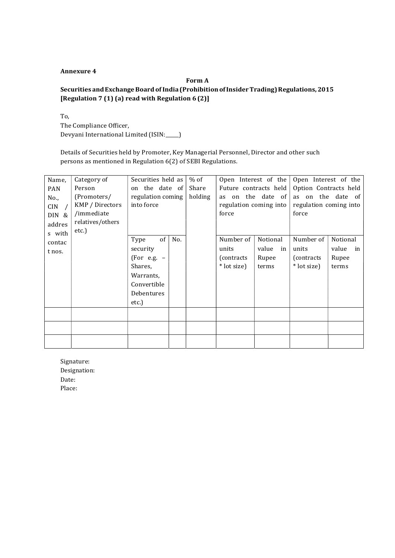## Form A Securities and Exchange Board of India (Prohibition of Insider Trading) Regulations, 2015 [Regulation 7 (1) (a) read with Regulation 6 (2)]

To, The Compliance Officer, Devyani International Limited (ISIN: \_\_\_\_)

Details of Securities held by Promoter, Key Managerial Personnel, Director and other such persons as mentioned in Regulation 6(2) of SEBI Regulations.

| Name,<br><b>PAN</b><br>No.,<br>CIN<br>DIN &<br>addres<br>s with | Category of<br>Person<br>(Promoters/<br>KMP / Directors<br>/immediate<br>relatives/others<br>etc.) | Securities held as<br>on the date of<br>regulation coming<br>into force                               |     | % of<br>Share<br>holding | Open Interest of the<br>Future contracts held<br>as on the date of<br>regulation coming into<br>force |                                           | Open Interest of the<br>Option Contracts held<br>as on the date of<br>regulation coming into<br>force |                                        |  |
|-----------------------------------------------------------------|----------------------------------------------------------------------------------------------------|-------------------------------------------------------------------------------------------------------|-----|--------------------------|-------------------------------------------------------------------------------------------------------|-------------------------------------------|-------------------------------------------------------------------------------------------------------|----------------------------------------|--|
| contac<br>t nos.                                                |                                                                                                    | of<br>Type<br>security<br>$(For e.g. -$<br>Shares,<br>Warrants,<br>Convertible<br>Debentures<br>etc.) | No. |                          | Number of<br>units<br>(contracts)<br>* lot size)                                                      | Notional<br>value<br>in<br>Rupee<br>terms | Number of<br>units<br>(contracts)<br>* lot size)                                                      | Notional<br>value in<br>Rupee<br>terms |  |
|                                                                 |                                                                                                    |                                                                                                       |     |                          |                                                                                                       |                                           |                                                                                                       |                                        |  |
|                                                                 |                                                                                                    |                                                                                                       |     |                          |                                                                                                       |                                           |                                                                                                       |                                        |  |

Signature: Designation: Date: Place: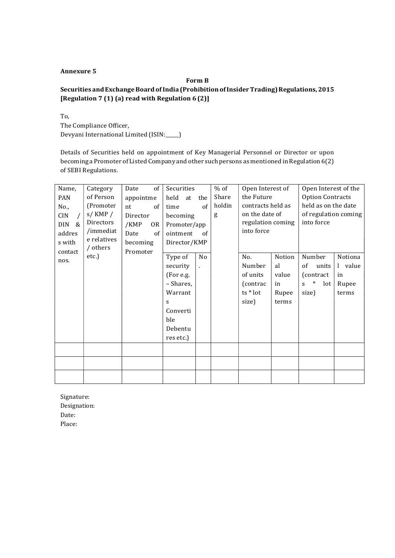## Form B Securities and Exchange Board of India (Prohibition of Insider Trading) Regulations, 2015 [Regulation 7 (1) (a) read with Regulation 6 (2)]

To, The Compliance Officer, Devyani International Limited (ISIN: \_\_\_\_)

Details of Securities held on appointment of Key Managerial Personnel or Director or upon becoming a Promoter of Listed Company and other such persons as mentioned in Regulation 6(2) of SEBI Regulations.

| Name,       | Category               | $of \vert$<br>Date | Securities   |                | $%$ of | Open Interest of                |            | Open Interest of the    |         |  |
|-------------|------------------------|--------------------|--------------|----------------|--------|---------------------------------|------------|-------------------------|---------|--|
| PAN         | of Person              | appointme          | held at      | the            | Share  | the Future                      |            | <b>Option Contracts</b> |         |  |
| No.,        | (Promoter              | nt<br>of           | time         | of             | holdin | contracts held as               |            | held as on the date     |         |  |
| <b>CIN</b>  | $s/$ KMP $/$           | Director           |              | becoming       |        | on the date of                  |            | of regulation coming    |         |  |
| $\&$<br>DIN | Directors<br>/immediat | /KMP<br>0R         | Promoter/app |                |        | regulation coming<br>into force | into force |                         |         |  |
| addres      | e relatives            | Date<br>of         |              | ointment<br>of |        |                                 |            |                         |         |  |
| s with      | / others               | becoming           | Director/KMP |                |        |                                 |            |                         |         |  |
| contact     | etc.)                  | Promoter           | Type of      | No             |        | No.                             | Notion     | Number                  | Notiona |  |
| nos.        |                        |                    | security     |                |        | Number                          | al         | of<br>units             | l value |  |
|             |                        |                    | (For e.g.    |                |        | of units                        | value      | (contract)              | in      |  |
|             |                        |                    | – Shares,    |                |        | (contrac                        | in         | $\ast$<br>lot<br>S.     | Rupee   |  |
|             |                        |                    | Warrant      |                |        | ts * lot                        | Rupee      | size)                   | terms   |  |
|             |                        |                    | S            |                |        | size)                           | terms      |                         |         |  |
|             |                        |                    | Converti     |                |        |                                 |            |                         |         |  |
|             |                        |                    | ble          |                |        |                                 |            |                         |         |  |
|             |                        |                    | Debentu      |                |        |                                 |            |                         |         |  |
|             |                        |                    | res etc.)    |                |        |                                 |            |                         |         |  |
|             |                        |                    |              |                |        |                                 |            |                         |         |  |
|             |                        |                    |              |                |        |                                 |            |                         |         |  |
|             |                        |                    |              |                |        |                                 |            |                         |         |  |
|             |                        |                    |              |                |        |                                 |            |                         |         |  |

Signature: Designation: Date: Place: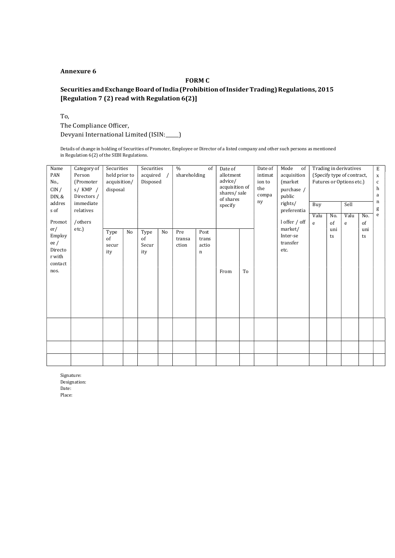#### FORM C

## Securities and Exchange Board of India (Prohibition of Insider Trading) Regulations, 2015 [Regulation 7 (2) read with Regulation 6(2)]

To,

The Compliance Officer, Devyani International Limited (ISIN: \_\_\_\_)

Details of change in holding of Securities of Promoter, Employee or Director of a listed company and other such persons as mentioned in Regulation 6(2) of the SEBI Regulations.

| Name<br>PAN<br>No.,<br>CIN/<br>DIN, &<br>addres<br>s of<br>Promot<br>er/<br>Employ<br>ee/<br>Directo<br>r with<br>contact<br>nos. | Category of<br>Person<br>(Promoter<br>$s/$ KMP $/$<br>Directors /<br>immediate<br>relatives<br>/others<br>etc.) | Securities<br>held prior to<br>acquisition/<br>disposal |    |                            | $\frac{0}{0}$<br>Securities<br>shareholding<br>acquired<br>Disposed |                        |                                       | Date of<br>allotment<br>advice/<br>acquisition of<br>shares/sale<br>of shares<br>specify |    | Date of<br>intimat<br>ion to<br>the<br>compa<br>ny | Mode<br>of<br>acquisition<br>(market<br>purchase /<br>public<br>rights/<br>preferentia<br>l offer / off | Buy<br>Valu<br>e | No.<br>of | Trading in derivatives<br>(Specify type of contract,<br>Futures or Options etc.)<br>Sell<br>Valu<br>No.<br>of<br>${\bf e}$ |           | $\mathbf E$<br>$\mathbf{x}$<br>$\mathbf c$<br>h<br>a<br>n<br>g<br>e |
|-----------------------------------------------------------------------------------------------------------------------------------|-----------------------------------------------------------------------------------------------------------------|---------------------------------------------------------|----|----------------------------|---------------------------------------------------------------------|------------------------|---------------------------------------|------------------------------------------------------------------------------------------|----|----------------------------------------------------|---------------------------------------------------------------------------------------------------------|------------------|-----------|----------------------------------------------------------------------------------------------------------------------------|-----------|---------------------------------------------------------------------|
|                                                                                                                                   |                                                                                                                 | Type<br>of<br>secur<br>ity                              | No | Type<br>of<br>Secur<br>ity | No                                                                  | Pre<br>transa<br>ction | Post<br>trans<br>actio<br>$\mathbf n$ | From                                                                                     | To | market/<br>etc.                                    | Inter-se<br>transfer                                                                                    |                  | uni<br>ts |                                                                                                                            | uni<br>ts |                                                                     |
|                                                                                                                                   |                                                                                                                 |                                                         |    |                            |                                                                     |                        |                                       |                                                                                          |    |                                                    |                                                                                                         |                  |           |                                                                                                                            |           |                                                                     |
|                                                                                                                                   |                                                                                                                 |                                                         |    |                            |                                                                     |                        |                                       |                                                                                          |    |                                                    |                                                                                                         |                  |           |                                                                                                                            |           |                                                                     |

Signature: Designation: Date: Place: